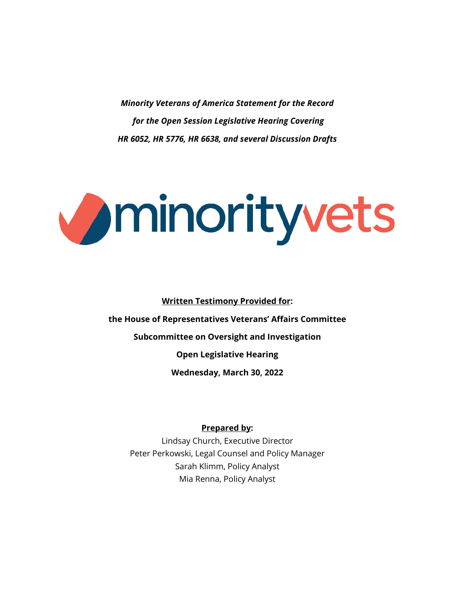*Minority Veterans of America Statement for the Record for the Open Session Legislative Hearing Covering HR 6052, HR 5776, HR 6638, and several Discussion Drafts*

# Uminorityvets

**Written Testimony Provided for:**

**the House of Representatives Veterans' Affairs Committee**

**Subcommittee on Oversight and Investigation**

**Open Legislative Hearing**

**Wednesday, March 30, 2022**

#### **Prepared by:**

Lindsay Church, Executive Director Peter Perkowski, Legal Counsel and Policy Manager Sarah Klimm, Policy Analyst Mia Renna, Policy Analyst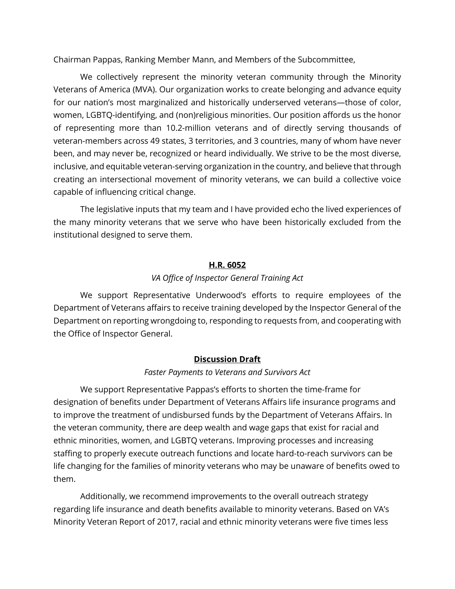Chairman Pappas, Ranking Member Mann, and Members of the Subcommittee,

We collectively represent the minority veteran community through the Minority Veterans of America (MVA). Our organization works to create belonging and advance equity for our nation's most marginalized and historically underserved veterans—those of color, women, LGBTQ-identifying, and (non)religious minorities. Our position affords us the honor of representing more than 10.2-million veterans and of directly serving thousands of veteran-members across 49 states, 3 territories, and 3 countries, many of whom have never been, and may never be, recognized or heard individually. We strive to be the most diverse, inclusive, and equitable veteran-serving organization in the country, and believe that through creating an intersectional movement of minority veterans, we can build a collective voice capable of influencing critical change.

The legislative inputs that my team and I have provided echo the lived experiences of the many minority veterans that we serve who have been historically excluded from the institutional designed to serve them.

#### **H.R. 6052**

#### *VA Office of Inspector General Training Act*

We support Representative Underwood's efforts to require employees of the Department of Veterans affairs to receive training developed by the Inspector General of the Department on reporting wrongdoing to, responding to requests from, and cooperating with the Office of Inspector General.

## **Discussion Draft**

## *Faster Payments to Veterans and Survivors Act*

We support Representative Pappas's efforts to shorten the time-frame for designation of benefits under Department of Veterans Affairs life insurance programs and to improve the treatment of undisbursed funds by the Department of Veterans Affairs. In the veteran community, there are deep wealth and wage gaps that exist for racial and ethnic minorities, women, and LGBTQ veterans. Improving processes and increasing staffing to properly execute outreach functions and locate hard-to-reach survivors can be life changing for the families of minority veterans who may be unaware of benefits owed to them.

Additionally, we recommend improvements to the overall outreach strategy regarding life insurance and death benefits available to minority veterans. Based on VA's Minority Veteran Report of 2017, racial and ethnic minority veterans were five times less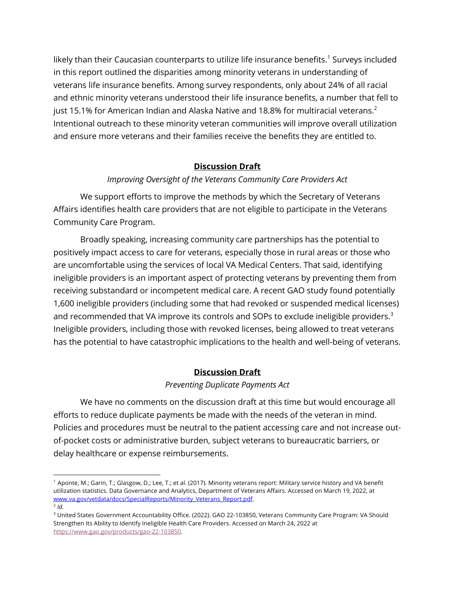likely than their Caucasian counterparts to utilize life insurance benefits.<sup>1</sup> Surveys included in this report outlined the disparities among minority veterans in understanding of veterans life insurance benefits. Among survey respondents, only about 24% of all racial and ethnic minority veterans understood their life insurance benefits, a number that fell to just 15.1% for American Indian and Alaska Native and 18.8% for multiracial veterans.<sup>2</sup> Intentional outreach to these minority veteran communities will improve overall utilization and ensure more veterans and their families receive the benefits they are entitled to.

## **Discussion Draft**

## *Improving Oversight of the Veterans Community Care Providers Act*

We support efforts to improve the methods by which the Secretary of Veterans Affairs identifies health care providers that are not eligible to participate in the Veterans Community Care Program.

Broadly speaking, increasing community care partnerships has the potential to positively impact access to care for veterans, especially those in rural areas or those who are uncomfortable using the services of local VA Medical Centers. That said, identifying ineligible providers is an important aspect of protecting veterans by preventing them from receiving substandard or incompetent medical care. A recent GAO study found potentially 1,600 ineligible providers (including some that had revoked or suspended medical licenses) and recommended that VA improve its controls and SOPs to exclude ineligible providers.<sup>3</sup> Ineligible providers, including those with revoked licenses, being allowed to treat veterans has the potential to have catastrophic implications to the health and well-being of veterans.

# **Discussion Draft**

## *Preventing Duplicate Payments Act*

We have no comments on the discussion draft at this time but would encourage all efforts to reduce duplicate payments be made with the needs of the veteran in mind. Policies and procedures must be neutral to the patient accessing care and not increase outof-pocket costs or administrative burden, subject veterans to bureaucratic barriers, or delay healthcare or expense reimbursements.

<sup>1</sup> Aponte, M.; Garin, T.; Glasgow, D.; Lee, T.; et al. (2017). Minority veterans report: Military service history and VA benefit utilization statistics. Data Governance and Analytics, Department of Veterans Affairs. Accessed on March 19, 2022, at www.va.gov/vetdata/docs/SpecialReports/Minority\_Veterans\_Report.pdf.  $^{2}$  *Id.* 

<sup>3</sup> United States Government Accountability Office. (2022). GAO 22-103850, Veterans Community Care Program: VA Should Strengthen Its Ability to Identify Ineligible Health Care Providers. Accessed on March 24, 2022 at https://www.gao.gov/products/gao-22-103850.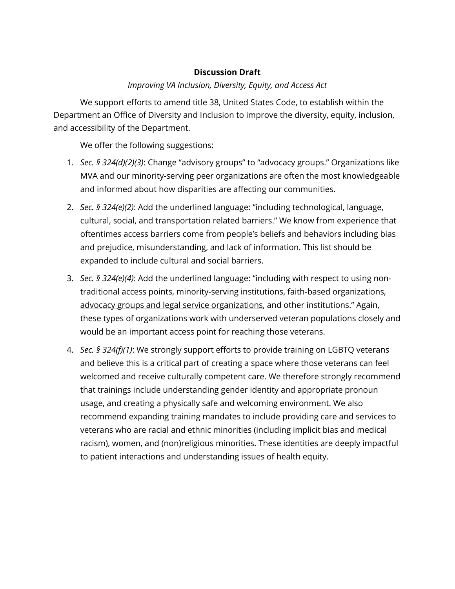# **Discussion Draft**

# *Improving VA Inclusion, Diversity, Equity, and Access Act*

We support efforts to amend title 38, United States Code, to establish within the Department an Office of Diversity and Inclusion to improve the diversity, equity, inclusion, and accessibility of the Department.

We offer the following suggestions:

- 1. *Sec. § 324(d)(2)(3)*: Change "advisory groups" to "advocacy groups." Organizations like MVA and our minority-serving peer organizations are often the most knowledgeable and informed about how disparities are affecting our communities.
- 2. *Sec. § 324(e)(2)*: Add the underlined language: "including technological, language, cultural, social, and transportation related barriers." We know from experience that oftentimes access barriers come from people's beliefs and behaviors including bias and prejudice, misunderstanding, and lack of information. This list should be expanded to include cultural and social barriers.
- 3. *Sec. § 324(e)(4)*: Add the underlined language: "including with respect to using nontraditional access points, minority-serving institutions, faith-based organizations, advocacy groups and legal service organizations, and other institutions." Again, these types of organizations work with underserved veteran populations closely and would be an important access point for reaching those veterans.
- 4. *Sec. § 324(f)(1)*: We strongly support efforts to provide training on LGBTQ veterans and believe this is a critical part of creating a space where those veterans can feel welcomed and receive culturally competent care. We therefore strongly recommend that trainings include understanding gender identity and appropriate pronoun usage, and creating a physically safe and welcoming environment. We also recommend expanding training mandates to include providing care and services to veterans who are racial and ethnic minorities (including implicit bias and medical racism), women, and (non)religious minorities. These identities are deeply impactful to patient interactions and understanding issues of health equity.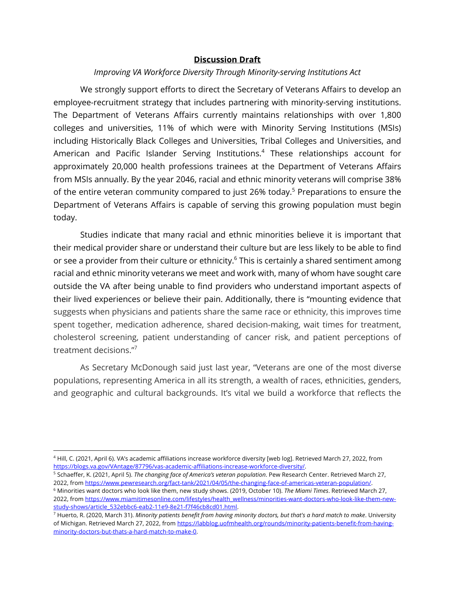## **Discussion Draft**

#### *Improving VA Workforce Diversity Through Minority-serving Institutions Act*

We strongly support efforts to direct the Secretary of Veterans Affairs to develop an employee-recruitment strategy that includes partnering with minority-serving institutions. The Department of Veterans Affairs currently maintains relationships with over 1,800 colleges and universities, 11% of which were with Minority Serving Institutions (MSIs) including Historically Black Colleges and Universities, Tribal Colleges and Universities, and American and Pacific Islander Serving Institutions.<sup>4</sup> These relationships account for approximately 20,000 health professions trainees at the Department of Veterans Affairs from MSIs annually. By the year 2046, racial and ethnic minority veterans will comprise 38% of the entire veteran community compared to just 26% today.<sup>5</sup> Preparations to ensure the Department of Veterans Affairs is capable of serving this growing population must begin today.

Studies indicate that many racial and ethnic minorities believe it is important that their medical provider share or understand their culture but are less likely to be able to find or see a provider from their culture or ethnicity.<sup>6</sup> This is certainly a shared sentiment among racial and ethnic minority veterans we meet and work with, many of whom have sought care outside the VA after being unable to find providers who understand important aspects of their lived experiences or believe their pain. Additionally, there is "mounting evidence that suggests when physicians and patients share the same race or ethnicity, this improves time spent together, medication adherence, shared decision-making, wait times for treatment, cholesterol screening, patient understanding of cancer risk, and patient perceptions of treatment decisions."7

As Secretary McDonough said just last year, "Veterans are one of the most diverse populations, representing America in all its strength, a wealth of races, ethnicities, genders, and geographic and cultural backgrounds. It's vital we build a workforce that reflects the

<sup>4</sup> Hill, C. (2021, April 6). VA's academic affiliations increase workforce diversity [web log]. Retrieved March 27, 2022, from https://blogs.va.gov/VAntage/87796/vas-academic-affiliations-increase-workforce-diversity/.

<sup>&</sup>lt;sup>5</sup> Schaeffer, K. (2021, April 5). *The changing face of America's veteran population*. Pew Research Center. Retrieved March 27,<br>2022, from https://www.pewresearch.org/fact-tank/2021/04/05/the-changing-face-of-americas-vet

<sup>&</sup>lt;sup>6</sup> Minorities want doctors who look like them, new study shows. (2019, October 10). The Miami Times. Retrieved March 27, 2022, from https://www.miamitimesonline.com/lifestyles/health\_wellness/minorities-want-doctors-who-look-like-them-newstudy-shows/article\_532ebbc6-eab2-11e9-8e21-f7f46cb8cd01.html.

<sup>7</sup> Huerto, R. (2020, March 31). *Minority patients benefit from having minority doctors, but that's a hard match to make*. University of Michigan. Retrieved March 27, 2022, from https://labblog.uofmhealth.org/rounds/minority-patients-benefit-from-havingminority-doctors-but-thats-a-hard-match-to-make-0.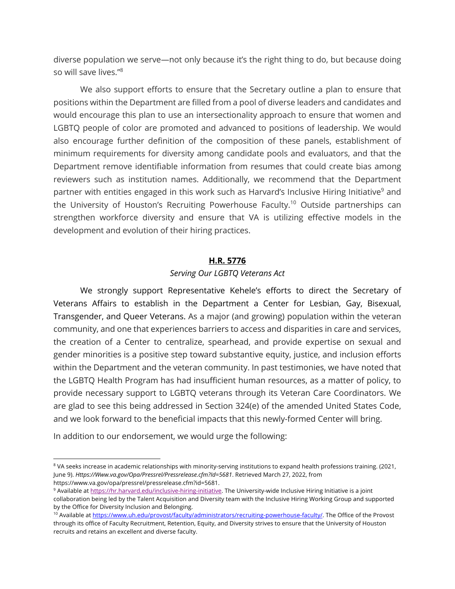diverse population we serve—not only because it's the right thing to do, but because doing so will save lives."<sup>8</sup>

We also support efforts to ensure that the Secretary outline a plan to ensure that positions within the Department are filled from a pool of diverse leaders and candidates and would encourage this plan to use an intersectionality approach to ensure that women and LGBTQ people of color are promoted and advanced to positions of leadership. We would also encourage further definition of the composition of these panels, establishment of minimum requirements for diversity among candidate pools and evaluators, and that the Department remove identifiable information from resumes that could create bias among reviewers such as institution names. Additionally, we recommend that the Department partner with entities engaged in this work such as Harvard's Inclusive Hiring Initiative<sup>9</sup> and the University of Houston's Recruiting Powerhouse Faculty. <sup>10</sup> Outside partnerships can strengthen workforce diversity and ensure that VA is utilizing effective models in the development and evolution of their hiring practices.

#### **H.R. 5776**

#### *Serving Our LGBTQ Veterans Act*

We strongly support Representative Kehele's efforts to direct the Secretary of Veterans Affairs to establish in the Department a Center for Lesbian, Gay, Bisexual, Transgender, and Queer Veterans. As a major (and growing) population within the veteran community, and one that experiences barriers to access and disparities in care and services, the creation of a Center to centralize, spearhead, and provide expertise on sexual and gender minorities is a positive step toward substantive equity, justice, and inclusion efforts within the Department and the veteran community. In past testimonies, we have noted that the LGBTQ Health Program has had insufficient human resources, as a matter of policy, to provide necessary support to LGBTQ veterans through its Veteran Care Coordinators. We are glad to see this being addressed in Section 324(e) of the amended United States Code, and we look forward to the beneficial impacts that this newly-formed Center will bring.

In addition to our endorsement, we would urge the following:

<sup>&</sup>lt;sup>8</sup> VA seeks increase in academic relationships with minority-serving institutions to expand health professions training. (2021, June 9). *Https://Www.va.gov/Opa/Pressrel/Pressrelease.cfm?Id=5681*. Retrieved March 27, 2022, from https://www.va.gov/opa/pressrel/pressrelease.cfm?id=5681.

<sup>9</sup> Available at https://hr.harvard.edu/inclusive-hiring-initiative. The University-wide Inclusive Hiring Initiative is a joint collaboration being led by the Talent Acquisition and Diversity team with the Inclusive Hiring Working Group and supported by the Office for Diversity Inclusion and Belonging.

<sup>&</sup>lt;sup>10</sup> Available at https://www.uh.edu/provost/faculty/administrators/recruiting-powerhouse-faculty/. The Office of the Provost through its office of Faculty Recruitment, Retention, Equity, and Diversity strives to ensure that the University of Houston recruits and retains an excellent and diverse faculty.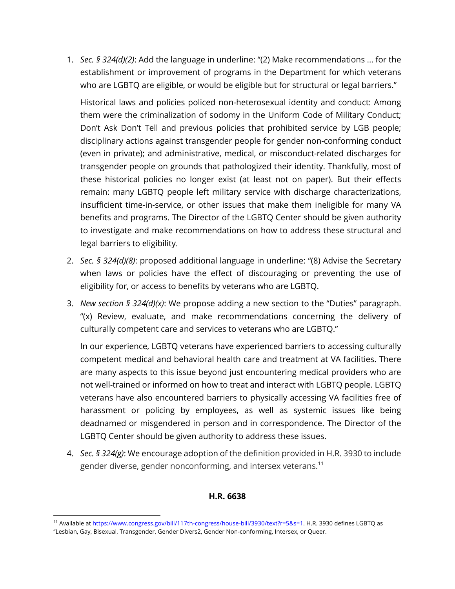1. *Sec. § 324(d)(2)*: Add the language in underline: "(2) Make recommendations … for the establishment or improvement of programs in the Department for which veterans who are LGBTQ are eligible, or would be eligible but for structural or legal barriers."

Historical laws and policies policed non-heterosexual identity and conduct: Among them were the criminalization of sodomy in the Uniform Code of Military Conduct; Don't Ask Don't Tell and previous policies that prohibited service by LGB people; disciplinary actions against transgender people for gender non-conforming conduct (even in private); and administrative, medical, or misconduct-related discharges for transgender people on grounds that pathologized their identity. Thankfully, most of these historical policies no longer exist (at least not on paper). But their effects remain: many LGBTQ people left military service with discharge characterizations, insufficient time-in-service, or other issues that make them ineligible for many VA benefits and programs. The Director of the LGBTQ Center should be given authority to investigate and make recommendations on how to address these structural and legal barriers to eligibility.

- 2. *Sec. § 324(d)(8)*: proposed additional language in underline: "(8) Advise the Secretary when laws or policies have the effect of discouraging or preventing the use of eligibility for, or access to benefits by veterans who are LGBTQ.
- 3. *New section § 324(d)(x)*: We propose adding a new section to the "Duties" paragraph. "(x) Review, evaluate, and make recommendations concerning the delivery of culturally competent care and services to veterans who are LGBTQ."

In our experience, LGBTQ veterans have experienced barriers to accessing culturally competent medical and behavioral health care and treatment at VA facilities. There are many aspects to this issue beyond just encountering medical providers who are not well-trained or informed on how to treat and interact with LGBTQ people. LGBTQ veterans have also encountered barriers to physically accessing VA facilities free of harassment or policing by employees, as well as systemic issues like being deadnamed or misgendered in person and in correspondence. The Director of the LGBTQ Center should be given authority to address these issues.

4. *Sec. § 324(g)*: We encourage adoption of the definition provided in H.R. 3930 to include gender diverse, gender nonconforming, and intersex veterans.<sup>11</sup>

# **H.R. 6638**

<sup>&</sup>lt;sup>11</sup> Available at https://www.congress.gov/bill/117th-congress/house-bill/3930/text?r=5&s=1</u>. H.R. 3930 defines LGBTQ as

<sup>&</sup>quot;Lesbian, Gay, Bisexual, Transgender, Gender Divers2, Gender Non-conforming, Intersex, or Queer.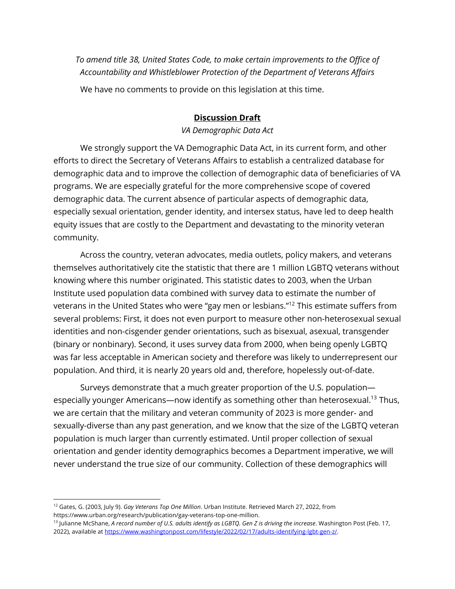*To amend title 38, United States Code, to make certain improvements to the Office of Accountability and Whistleblower Protection of the Department of Veterans Affairs*

We have no comments to provide on this legislation at this time.

# **Discussion Draft**

#### *VA Demographic Data Act*

We strongly support the VA Demographic Data Act, in its current form, and other efforts to direct the Secretary of Veterans Affairs to establish a centralized database for demographic data and to improve the collection of demographic data of beneficiaries of VA programs. We are especially grateful for the more comprehensive scope of covered demographic data. The current absence of particular aspects of demographic data, especially sexual orientation, gender identity, and intersex status, have led to deep health equity issues that are costly to the Department and devastating to the minority veteran community.

Across the country, veteran advocates, media outlets, policy makers, and veterans themselves authoritatively cite the statistic that there are 1 million LGBTQ veterans without knowing where this number originated. This statistic dates to 2003, when the Urban Institute used population data combined with survey data to estimate the number of veterans in the United States who were "gay men or lesbians."12 This estimate suffers from several problems: First, it does not even purport to measure other non-heterosexual sexual identities and non-cisgender gender orientations, such as bisexual, asexual, transgender (binary or nonbinary). Second, it uses survey data from 2000, when being openly LGBTQ was far less acceptable in American society and therefore was likely to underrepresent our population. And third, it is nearly 20 years old and, therefore, hopelessly out-of-date.

Surveys demonstrate that a much greater proportion of the U.S. population especially younger Americans—now identify as something other than heterosexual.<sup>13</sup> Thus, we are certain that the military and veteran community of 2023 is more gender- and sexually-diverse than any past generation, and we know that the size of the LGBTQ veteran population is much larger than currently estimated. Until proper collection of sexual orientation and gender identity demographics becomes a Department imperative, we will never understand the true size of our community. Collection of these demographics will

<sup>12</sup> Gates, G. (2003, July 9). *Gay Veterans Top One Million*. Urban Institute. Retrieved March 27, 2022, from https://www.urban.org/research/publication/gay-veterans-top-one-million.

<sup>13</sup> Julianne McShane, *A record number of U.S. adults identify as LGBTQ. Gen Z is driving the increase*. Washington Post (Feb. 17, 2022), available at https://www.washingtonpost.com/lifestyle/2022/02/17/adults-identifying-lgbt-gen-z/.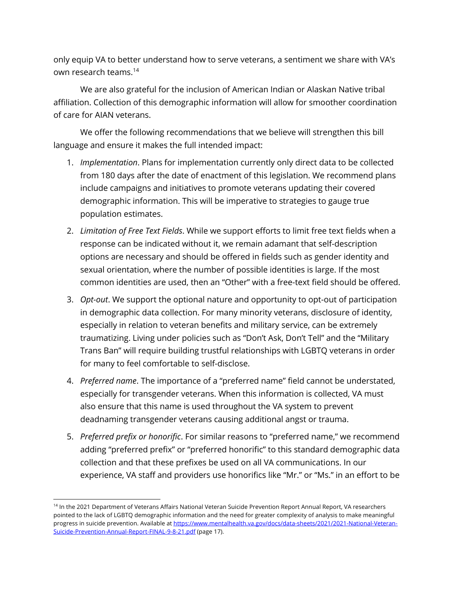only equip VA to better understand how to serve veterans, a sentiment we share with VA's own research teams.<sup>14</sup>

We are also grateful for the inclusion of American Indian or Alaskan Native tribal affiliation. Collection of this demographic information will allow for smoother coordination of care for AIAN veterans.

We offer the following recommendations that we believe will strengthen this bill language and ensure it makes the full intended impact:

- 1. *Implementation*. Plans for implementation currently only direct data to be collected from 180 days after the date of enactment of this legislation. We recommend plans include campaigns and initiatives to promote veterans updating their covered demographic information. This will be imperative to strategies to gauge true population estimates.
- 2. *Limitation of Free Text Fields*. While we support efforts to limit free text fields when a response can be indicated without it, we remain adamant that self-description options are necessary and should be offered in fields such as gender identity and sexual orientation, where the number of possible identities is large. If the most common identities are used, then an "Other" with a free-text field should be offered.
- 3. *Opt-out*. We support the optional nature and opportunity to opt-out of participation in demographic data collection. For many minority veterans, disclosure of identity, especially in relation to veteran benefits and military service, can be extremely traumatizing. Living under policies such as "Don't Ask, Don't Tell" and the "Military Trans Ban" will require building trustful relationships with LGBTQ veterans in order for many to feel comfortable to self-disclose.
- 4. *Preferred name*. The importance of a "preferred name" field cannot be understated, especially for transgender veterans. When this information is collected, VA must also ensure that this name is used throughout the VA system to prevent deadnaming transgender veterans causing additional angst or trauma.
- 5. *Preferred prefix or honorific*. For similar reasons to "preferred name," we recommend adding "preferred prefix" or "preferred honorific" to this standard demographic data collection and that these prefixes be used on all VA communications. In our experience, VA staff and providers use honorifics like "Mr." or "Ms." in an effort to be

<sup>&</sup>lt;sup>14</sup> In the 2021 Department of Veterans Affairs National Veteran Suicide Prevention Report Annual Report, VA researchers pointed to the lack of LGBTQ demographic information and the need for greater complexity of analysis to make meaningful progress in suicide prevention. Available at https://www.mentalhealth.va.gov/docs/data-sheets/2021/2021-National-Veteran-Suicide-Prevention-Annual-Report-FINAL-9-8-21.pdf (page 17).